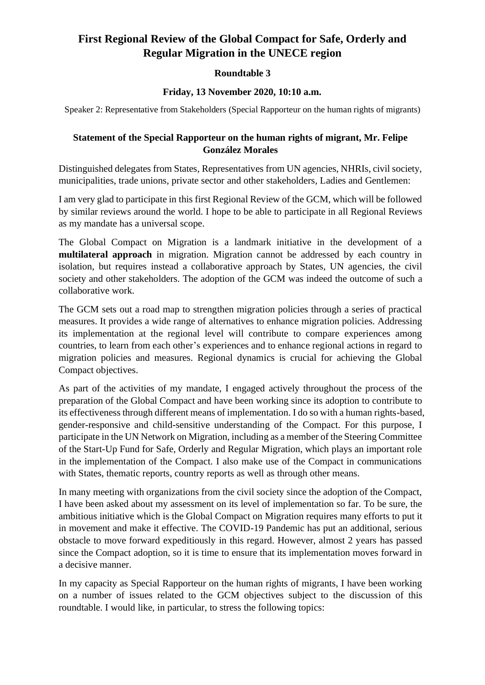### **First Regional Review of the Global Compact for Safe, Orderly and Regular Migration in the UNECE region**

### **Roundtable 3**

#### **Friday, 13 November 2020, 10:10 a.m.**

Speaker 2: Representative from Stakeholders (Special Rapporteur on the human rights of migrants)

#### **Statement of the Special Rapporteur on the human rights of migrant, Mr. Felipe González Morales**

Distinguished delegates from States, Representatives from UN agencies, NHRIs, civil society, municipalities, trade unions, private sector and other stakeholders, Ladies and Gentlemen:

I am very glad to participate in this first Regional Review of the GCM, which will be followed by similar reviews around the world. I hope to be able to participate in all Regional Reviews as my mandate has a universal scope.

The Global Compact on Migration is a landmark initiative in the development of a **multilateral approach** in migration. Migration cannot be addressed by each country in isolation, but requires instead a collaborative approach by States, UN agencies, the civil society and other stakeholders. The adoption of the GCM was indeed the outcome of such a collaborative work.

The GCM sets out a road map to strengthen migration policies through a series of practical measures. It provides a wide range of alternatives to enhance migration policies. Addressing its implementation at the regional level will contribute to compare experiences among countries, to learn from each other's experiences and to enhance regional actions in regard to migration policies and measures. Regional dynamics is crucial for achieving the Global Compact objectives.

As part of the activities of my mandate, I engaged actively throughout the process of the preparation of the Global Compact and have been working since its adoption to contribute to its effectiveness through different means of implementation. I do so with a human rights-based, gender-responsive and child-sensitive understanding of the Compact. For this purpose, I participate in the UN Network on Migration, including as a member of the Steering Committee of the Start-Up Fund for Safe, Orderly and Regular Migration, which plays an important role in the implementation of the Compact. I also make use of the Compact in communications with States, thematic reports, country reports as well as through other means.

In many meeting with organizations from the civil society since the adoption of the Compact, I have been asked about my assessment on its level of implementation so far. To be sure, the ambitious initiative which is the Global Compact on Migration requires many efforts to put it in movement and make it effective. The COVID-19 Pandemic has put an additional, serious obstacle to move forward expeditiously in this regard. However, almost 2 years has passed since the Compact adoption, so it is time to ensure that its implementation moves forward in a decisive manner.

In my capacity as Special Rapporteur on the human rights of migrants, I have been working on a number of issues related to the GCM objectives subject to the discussion of this roundtable. I would like, in particular, to stress the following topics: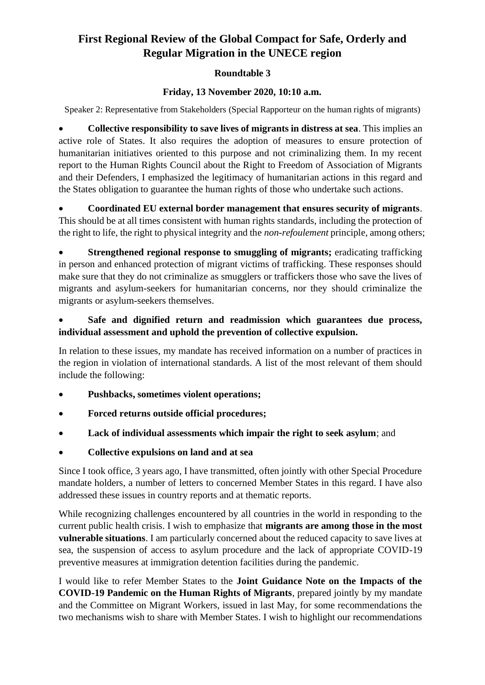# **First Regional Review of the Global Compact for Safe, Orderly and Regular Migration in the UNECE region**

### **Roundtable 3**

### **Friday, 13 November 2020, 10:10 a.m.**

Speaker 2: Representative from Stakeholders (Special Rapporteur on the human rights of migrants)

• **Collective responsibility to save lives of migrants in distress at sea**. This implies an active role of States. It also requires the adoption of measures to ensure protection of humanitarian initiatives oriented to this purpose and not criminalizing them. In my recent report to the Human Rights Council about the Right to Freedom of Association of Migrants and their Defenders, I emphasized the legitimacy of humanitarian actions in this regard and the States obligation to guarantee the human rights of those who undertake such actions.

• **Coordinated EU external border management that ensures security of migrants**. This should be at all times consistent with human rights standards, including the protection of the right to life, the right to physical integrity and the *non-refoulement* principle, among others;

**Strengthened regional response to smuggling of migrants;** eradicating trafficking in person and enhanced protection of migrant victims of trafficking. These responses should make sure that they do not criminalize as smugglers or traffickers those who save the lives of migrants and asylum-seekers for humanitarian concerns, nor they should criminalize the migrants or asylum-seekers themselves.

### • **Safe and dignified return and readmission which guarantees due process, individual assessment and uphold the prevention of collective expulsion.**

In relation to these issues, my mandate has received information on a number of practices in the region in violation of international standards. A list of the most relevant of them should include the following:

- **Pushbacks, sometimes violent operations;**
- **Forced returns outside official procedures;**
- **Lack of individual assessments which impair the right to seek asylum**; and
- **Collective expulsions on land and at sea**

Since I took office, 3 years ago, I have transmitted, often jointly with other Special Procedure mandate holders, a number of letters to concerned Member States in this regard. I have also addressed these issues in country reports and at thematic reports.

While recognizing challenges encountered by all countries in the world in responding to the current public health crisis. I wish to emphasize that **migrants are among those in the most vulnerable situations**. I am particularly concerned about the reduced capacity to save lives at sea, the suspension of access to asylum procedure and the lack of appropriate COVID-19 preventive measures at immigration detention facilities during the pandemic.

I would like to refer Member States to the **Joint Guidance Note on the Impacts of the COVID-19 Pandemic on the Human Rights of Migrants**, prepared jointly by my mandate and the Committee on Migrant Workers, issued in last May, for some recommendations the two mechanisms wish to share with Member States. I wish to highlight our recommendations